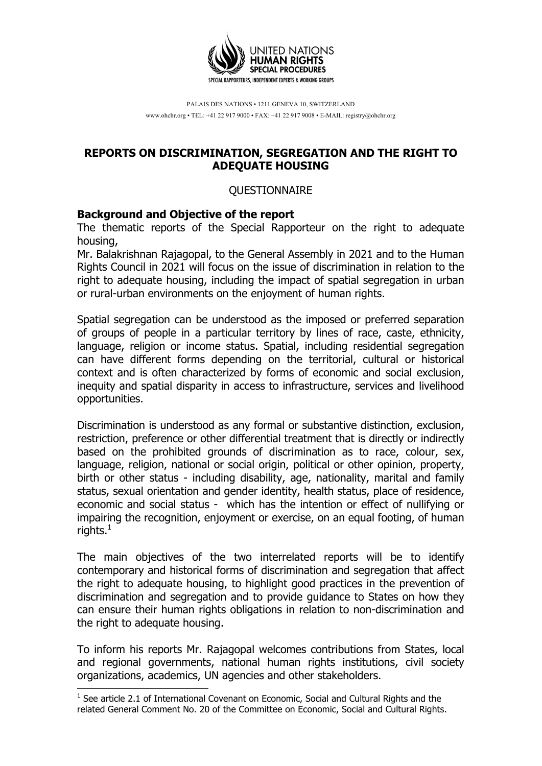

PALAIS DES NATIONS • 1211 GENEVA 10, SWITZERLAND www.ohchr.org • TEL: +41 22 917 9000 • FAX: +41 22 917 9008 • E-MAIL: registry@ohchr.org

## **REPORTS ON DISCRIMINATION, SEGREGATION AND THE RIGHT TO ADEQUATE HOUSING**

#### QUESTIONNAIRE

#### **Background and Objective of the report**

The thematic reports of the Special Rapporteur on the right to adequate housing,

Mr. Balakrishnan Rajagopal, to the General Assembly in 2021 and to the Human Rights Council in 2021 will focus on the issue of discrimination in relation to the right to adequate housing, including the impact of spatial segregation in urban or rural-urban environments on the enjoyment of human rights.

Spatial segregation can be understood as the imposed or preferred separation of groups of people in a particular territory by lines of race, caste, ethnicity, language, religion or income status. Spatial, including residential segregation can have different forms depending on the territorial, cultural or historical context and is often characterized by forms of economic and social exclusion, inequity and spatial disparity in access to infrastructure, services and livelihood opportunities.

Discrimination is understood as any formal or substantive distinction, exclusion, restriction, preference or other differential treatment that is directly or indirectly based on the prohibited grounds of discrimination as to race, colour, sex, language, religion, national or social origin, political or other opinion, property, birth or other status - including disability, age, nationality, marital and family status, sexual orientation and gender identity, health status, place of residence, economic and social status - which has the intention or effect of nullifying or impairing the recognition, enjoyment or exercise, on an equal footing, of human rights. $<sup>1</sup>$ </sup>

The main objectives of the two interrelated reports will be to identify contemporary and historical forms of discrimination and segregation that affect the right to adequate housing, to highlight good practices in the prevention of discrimination and segregation and to provide guidance to States on how they can ensure their human rights obligations in relation to non-discrimination and the right to adequate housing.

To inform his reports Mr. Rajagopal welcomes contributions from States, local and regional governments, national human rights institutions, civil society organizations, academics, UN agencies and other stakeholders.

 $1$  See article 2.1 of International Covenant on Economic, Social and Cultural Rights and the related General Comment No. 20 of the Committee on Economic, Social and Cultural Rights.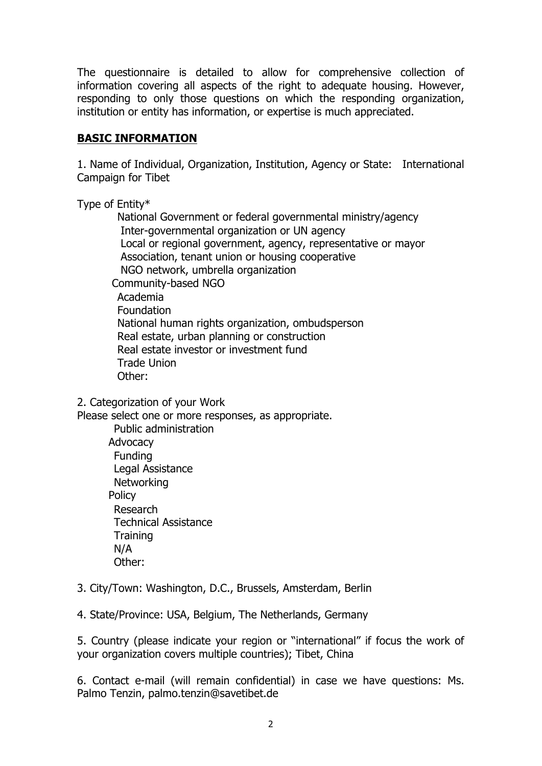The questionnaire is detailed to allow for comprehensive collection of information covering all aspects of the right to adequate housing. However, responding to only those questions on which the responding organization, institution or entity has information, or expertise is much appreciated.

## **BASIC INFORMATION**

1. Name of Individual, Organization, Institution, Agency or State: International Campaign for Tibet

Type of Entity\*

 National Government or federal governmental ministry/agency Inter-governmental organization or UN agency Local or regional government, agency, representative or mayor Association, tenant union or housing cooperative NGO network, umbrella organization Community-based NGO Academia Foundation National human rights organization, ombudsperson Real estate, urban planning or construction Real estate investor or investment fund Trade Union Other:

2. Categorization of your Work

Please select one or more responses, as appropriate.

Public administration **Advocacy** Funding Legal Assistance **Networking Policy** Research Technical Assistance **Training** N/A Other:

3. City/Town: Washington, D.C., Brussels, Amsterdam, Berlin

4. State/Province: USA, Belgium, The Netherlands, Germany

5. Country (please indicate your region or "international" if focus the work of your organization covers multiple countries); Tibet, China

6. Contact e-mail (will remain confidential) in case we have questions: Ms. Palmo Tenzin, palmo.tenzin@savetibet.de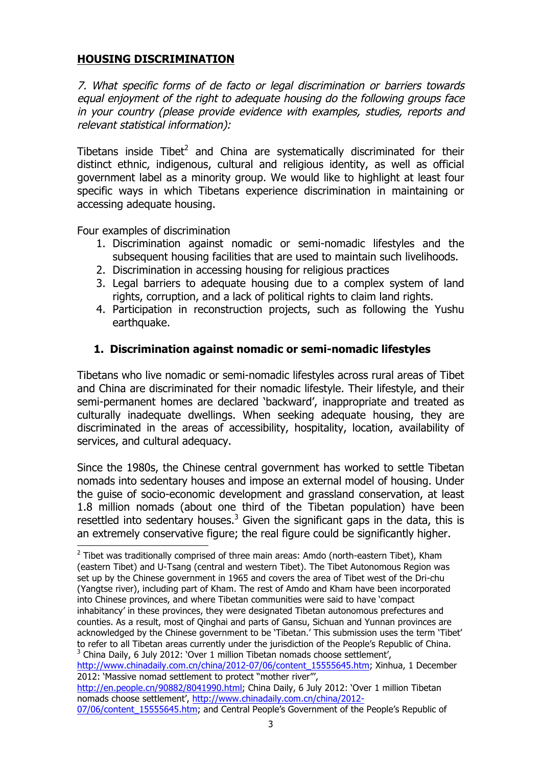## **HOUSING DISCRIMINATION**

7. What specific forms of de facto or legal discrimination or barriers towards equal enjoyment of the right to adequate housing do the following groups face in your country (please provide evidence with examples, studies, reports and relevant statistical information):

Tibetans inside Tibet<sup>2</sup> and China are systematically discriminated for their distinct ethnic, indigenous, cultural and religious identity, as well as official government label as a minority group. We would like to highlight at least four specific ways in which Tibetans experience discrimination in maintaining or accessing adequate housing.

Four examples of discrimination

- 1. Discrimination against nomadic or semi-nomadic lifestyles and the subsequent housing facilities that are used to maintain such livelihoods.
- 2. Discrimination in accessing housing for religious practices
- 3. Legal barriers to adequate housing due to a complex system of land rights, corruption, and a lack of political rights to claim land rights.
- 4. Participation in reconstruction projects, such as following the Yushu earthquake.

# **1. Discrimination against nomadic or semi-nomadic lifestyles**

Tibetans who live nomadic or semi-nomadic lifestyles across rural areas of Tibet and China are discriminated for their nomadic lifestyle. Their lifestyle, and their semi-permanent homes are declared 'backward', inappropriate and treated as culturally inadequate dwellings. When seeking adequate housing, they are discriminated in the areas of accessibility, hospitality, location, availability of services, and cultural adequacy.

Since the 1980s, the Chinese central government has worked to settle Tibetan nomads into sedentary houses and impose an external model of housing. Under the guise of socio-economic development and grassland conservation, at least 1.8 million nomads (about one third of the Tibetan population) have been resettled into sedentary houses.<sup>3</sup> Given the significant gaps in the data, this is an extremely conservative figure; the real figure could be significantly higher.<br> $\frac{1}{2}$  Tibet was traditionally comprised of three main areas: Amdo (north-eastern Tibet), Kham

<sup>(</sup>eastern Tibet) and U-Tsang (central and western Tibet). The Tibet Autonomous Region was set up by the Chinese government in 1965 and covers the area of Tibet west of the Dri-chu (Yangtse river), including part of Kham. The rest of Amdo and Kham have been incorporated into Chinese provinces, and where Tibetan communities were said to have 'compact inhabitancy' in these provinces, they were designated Tibetan autonomous prefectures and counties. As a result, most of Qinghai and parts of Gansu, Sichuan and Yunnan provinces are acknowledged by the Chinese government to be 'Tibetan.' This submission uses the term 'Tibet' to refer to all Tibetan areas currently under the jurisdiction of the People's Republic of China. <sup>3</sup> China Daily, 6 July 2012: 'Over 1 million Tibetan nomads choose settlement',

http://www.chinadaily.com.cn/china/2012-07/06/content\_15555645.htm; Xinhua, 1 December 2012: 'Massive nomad settlement to protect "mother river"',

http://en.people.cn/90882/8041990.html; China Daily, 6 July 2012: 'Over 1 million Tibetan nomads choose settlement', http://www.chinadaily.com.cn/china/2012-

<sup>07/06/</sup>content\_15555645.htm; and Central People's Government of the People's Republic of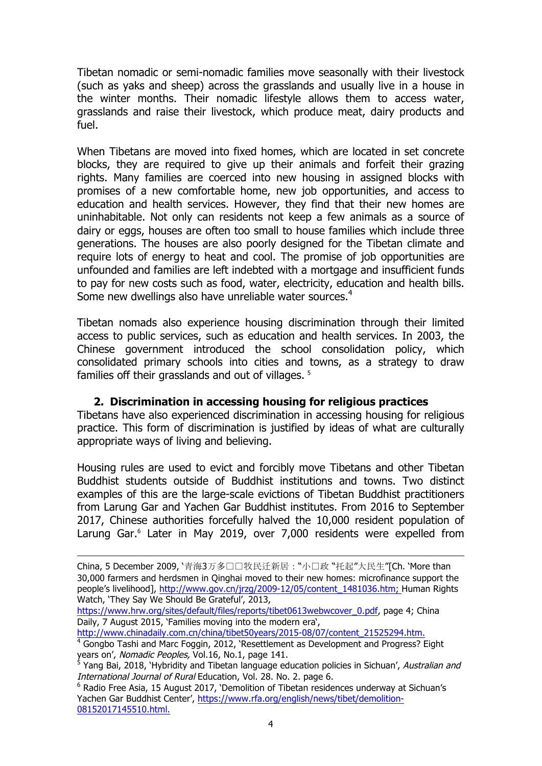Tibetan nomadic or semi-nomadic families move seasonally with their livestock (such as yaks and sheep) across the grasslands and usually live in a house in the winter months. Their nomadic lifestyle allows them to access water, grasslands and raise their livestock, which produce meat, dairy products and fuel.

When Tibetans are moved into fixed homes, which are located in set concrete blocks, they are required to give up their animals and forfeit their grazing rights. Many families are coerced into new housing in assigned blocks with promises of a new comfortable home, new job opportunities, and access to education and health services. However, they find that their new homes are uninhabitable. Not only can residents not keep a few animals as a source of dairy or eggs, houses are often too small to house families which include three generations. The houses are also poorly designed for the Tibetan climate and require lots of energy to heat and cool. The promise of job opportunities are unfounded and families are left indebted with a mortgage and insufficient funds to pay for new costs such as food, water, electricity, education and health bills. Some new dwellings also have unreliable water sources.<sup>4</sup>

Tibetan nomads also experience housing discrimination through their limited access to public services, such as education and health services. In 2003, the Chinese government introduced the school consolidation policy, which consolidated primary schools into cities and towns, as a strategy to draw families off their grasslands and out of villages. <sup>5</sup>

### **2. Discrimination in accessing housing for religious practices**

Tibetans have also experienced discrimination in accessing housing for religious practice. This form of discrimination is justified by ideas of what are culturally appropriate ways of living and believing.

Housing rules are used to evict and forcibly move Tibetans and other Tibetan Buddhist students outside of Buddhist institutions and towns. Two distinct examples of this are the large-scale evictions of Tibetan Buddhist practitioners from Larung Gar and Yachen Gar Buddhist institutes. From 2016 to September 2017, Chinese authorities forcefully halved the 10,000 resident population of Larung Gar.<sup>6</sup> Later in May 2019, over 7,000 residents were expelled from

http://www.chinadaily.com.cn/china/tibet50years/2015-08/07/content\_21525294.htm.

China, 5 December 2009, '青海3万多口口牧民迁新居: "小口政 "托起"大民生"[Ch. 'More than 30,000 farmers and herdsmen in Qinghai moved to their new homes: microfinance support the people's livelihood], http://www.gov.cn/jrzg/2009-12/05/content\_1481036.htm; Human Rights Watch, 'They Say We Should Be Grateful', 2013,

https://www.hrw.org/sites/default/files/reports/tibet0613webwcover\_0.pdf, page 4; China Daily, 7 August 2015, 'Families moving into the modern era',

<sup>&</sup>lt;sup>4</sup> Gongbo Tashi and Marc Foggin, 2012, 'Resettlement as Development and Progress? Eight years on', Nomadic Peoples, Vol.16, No.1, page 141.

<sup>&</sup>lt;sup>5</sup> Yang Bai, 2018, 'Hybridity and Tibetan language education policies in Sichuan', *Australian and* International Journal of Rural Education, Vol. 28. No. 2. page 6.

 $6$  Radio Free Asia, 15 August 2017, 'Demolition of Tibetan residences underway at Sichuan's Yachen Gar Buddhist Center', https://www.rfa.org/english/news/tibet/demolition-08152017145510.html.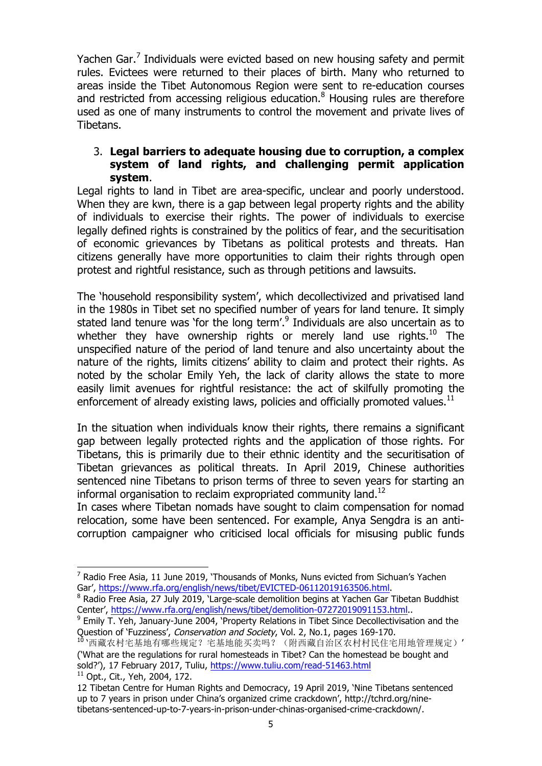Yachen Gar.<sup>7</sup> Individuals were evicted based on new housing safety and permit rules. Evictees were returned to their places of birth. Many who returned to areas inside the Tibet Autonomous Region were sent to re-education courses and restricted from accessing religious education.<sup>8</sup> Housing rules are therefore used as one of many instruments to control the movement and private lives of Tibetans.

## 3. **Legal barriers to adequate housing due to corruption, a complex system of land rights, and challenging permit application system**.

Legal rights to land in Tibet are area-specific, unclear and poorly understood. When they are kwn, there is a gap between legal property rights and the ability of individuals to exercise their rights. The power of individuals to exercise legally defined rights is constrained by the politics of fear, and the securitisation of economic grievances by Tibetans as political protests and threats. Han citizens generally have more opportunities to claim their rights through open protest and rightful resistance, such as through petitions and lawsuits.

The 'household responsibility system', which decollectivized and privatised land in the 1980s in Tibet set no specified number of years for land tenure. It simply stated land tenure was 'for the long term'.<sup>9</sup> Individuals are also uncertain as to whether they have ownership rights or merely land use rights.<sup>10</sup> The unspecified nature of the period of land tenure and also uncertainty about the nature of the rights, limits citizens' ability to claim and protect their rights. As noted by the scholar Emily Yeh, the lack of clarity allows the state to more easily limit avenues for rightful resistance: the act of skilfully promoting the enforcement of already existing laws, policies and officially promoted values. $11$ 

In the situation when individuals know their rights, there remains a significant gap between legally protected rights and the application of those rights. For Tibetans, this is primarily due to their ethnic identity and the securitisation of Tibetan grievances as political threats. In April 2019, Chinese authorities sentenced nine Tibetans to prison terms of three to seven years for starting an informal organisation to reclaim expropriated community land.<sup>12</sup>

In cases where Tibetan nomads have sought to claim compensation for nomad relocation, some have been sentenced. For example, Anya Sengdra is an anticorruption campaigner who criticised local officials for misusing public funds

<sup>11</sup> Opt., Cit., Yeh, 2004, 172.

 $<sup>7</sup>$  Radio Free Asia, 11 June 2019, 'Thousands of Monks, Nuns evicted from Sichuan's Yachen</sup> Gar', https://www.rfa.org/english/news/tibet/EVICTED-06112019163506.html.

<sup>&</sup>lt;sup>8</sup> Radio Free Asia, 27 July 2019, 'Large-scale demolition begins at Yachen Gar Tibetan Buddhist Center', https://www.rfa.org/english/news/tibet/demolition-07272019091153.html.. 9 Emily T. Yeh, January-June 2004, 'Property Relations in Tibet Since Decollectivisation and the

Question of 'Fuzziness', Conservation and Society, Vol. 2, No.1, pages 169-170.

<sup>10</sup> '西藏农村宅基地有哪些规定?宅基地能买卖吗?(附西藏自治区农村村民住宅用地管理规定)' ('What are the regulations for rural homesteads in Tibet? Can the homestead be bought and sold?'), 17 February 2017, Tuliu, https://www.tuliu.com/read-51463.html

<sup>12</sup> Tibetan Centre for Human Rights and Democracy, 19 April 2019, 'Nine Tibetans sentenced up to 7 years in prison under China's organized crime crackdown', http://tchrd.org/ninetibetans-sentenced-up-to-7-years-in-prison-under-chinas-organised-crime-crackdown/.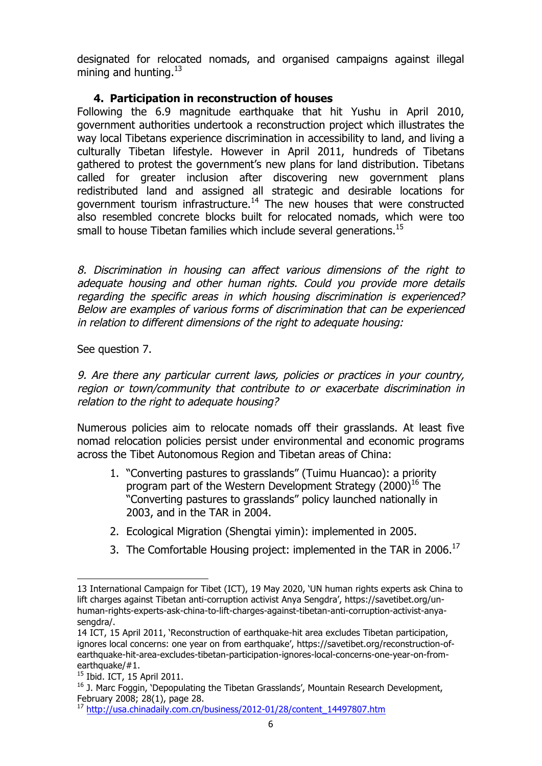designated for relocated nomads, and organised campaigns against illegal mining and hunting.  $13$ 

## **4. Participation in reconstruction of houses**

Following the 6.9 magnitude earthquake that hit Yushu in April 2010, government authorities undertook a reconstruction project which illustrates the way local Tibetans experience discrimination in accessibility to land, and living a culturally Tibetan lifestyle. However in April 2011, hundreds of Tibetans gathered to protest the government's new plans for land distribution. Tibetans called for greater inclusion after discovering new government plans redistributed land and assigned all strategic and desirable locations for government tourism infrastructure.14 The new houses that were constructed also resembled concrete blocks built for relocated nomads, which were too small to house Tibetan families which include several generations.<sup>15</sup>

8. Discrimination in housing can affect various dimensions of the right to adequate housing and other human rights. Could you provide more details regarding the specific areas in which housing discrimination is experienced? Below are examples of various forms of discrimination that can be experienced in relation to different dimensions of the right to adequate housing:

See question 7.

9. Are there any particular current laws, policies or practices in your country, region or town/community that contribute to or exacerbate discrimination in relation to the right to adequate housing?

Numerous policies aim to relocate nomads off their grasslands. At least five nomad relocation policies persist under environmental and economic programs across the Tibet Autonomous Region and Tibetan areas of China:

- 1. "Converting pastures to grasslands" (Tuimu Huancao): a priority program part of the Western Development Strategy  $(2000)^{16}$  The "Converting pastures to grasslands" policy launched nationally in 2003, and in the TAR in 2004.
- 2. Ecological Migration (Shengtai yimin): implemented in 2005.
- 3. The Comfortable Housing project: implemented in the TAR in 2006.<sup>17</sup>

<sup>13</sup> International Campaign for Tibet (ICT), 19 May 2020, 'UN human rights experts ask China to lift charges against Tibetan anti-corruption activist Anya Sengdra', https://savetibet.org/unhuman-rights-experts-ask-china-to-lift-charges-against-tibetan-anti-corruption-activist-anyasengdra/.

<sup>14</sup> ICT, 15 April 2011, 'Reconstruction of earthquake-hit area excludes Tibetan participation, ignores local concerns: one year on from earthquake', https://savetibet.org/reconstruction-ofearthquake-hit-area-excludes-tibetan-participation-ignores-local-concerns-one-year-on-fromearthquake/ $#1$ .<br><sup>15</sup> Ibid. ICT, 15 April 2011.

<sup>&</sup>lt;sup>16</sup> J. Marc Foggin, 'Depopulating the Tibetan Grasslands', Mountain Research Development, February 2008; 28(1), page 28.

<sup>17</sup> http://usa.chinadaily.com.cn/business/2012-01/28/content\_14497807.htm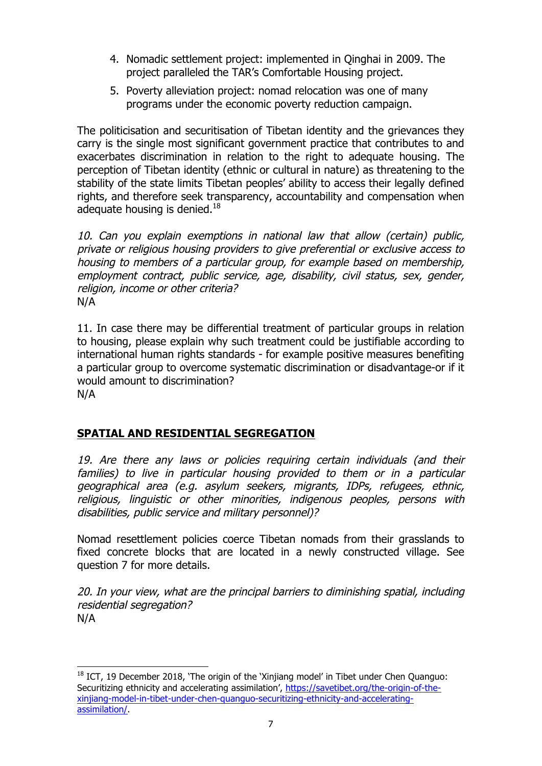- 4. Nomadic settlement project: implemented in Qinghai in 2009. The project paralleled the TAR's Comfortable Housing project.
- 5. Poverty alleviation project: nomad relocation was one of many programs under the economic poverty reduction campaign.

The politicisation and securitisation of Tibetan identity and the grievances they carry is the single most significant government practice that contributes to and exacerbates discrimination in relation to the right to adequate housing. The perception of Tibetan identity (ethnic or cultural in nature) as threatening to the stability of the state limits Tibetan peoples' ability to access their legally defined rights, and therefore seek transparency, accountability and compensation when adequate housing is denied.<sup>18</sup>

10. Can you explain exemptions in national law that allow (certain) public, private or religious housing providers to give preferential or exclusive access to housing to members of a particular group, for example based on membership, employment contract, public service, age, disability, civil status, sex, gender, religion, income or other criteria? N/A

11. In case there may be differential treatment of particular groups in relation to housing, please explain why such treatment could be justifiable according to international human rights standards - for example positive measures benefiting a particular group to overcome systematic discrimination or disadvantage-or if it would amount to discrimination? N/A

# **SPATIAL AND RESIDENTIAL SEGREGATION**

 $\overline{a}$ 

19. Are there any laws or policies requiring certain individuals (and their families) to live in particular housing provided to them or in a particular geographical area (e.g. asylum seekers, migrants, IDPs, refugees, ethnic, religious, linguistic or other minorities, indigenous peoples, persons with disabilities, public service and military personnel)?

Nomad resettlement policies coerce Tibetan nomads from their grasslands to fixed concrete blocks that are located in a newly constructed village. See question 7 for more details.

20. In your view, what are the principal barriers to diminishing spatial, including residential segregation? N/A

 $18$  ICT, 19 December 2018, 'The origin of the 'Xinjiang model' in Tibet under Chen Quanguo: Securitizing ethnicity and accelerating assimilation', https://savetibet.org/the-origin-of-thexinjiang-model-in-tibet-under-chen-quanguo-securitizing-ethnicity-and-acceleratingassimilation/.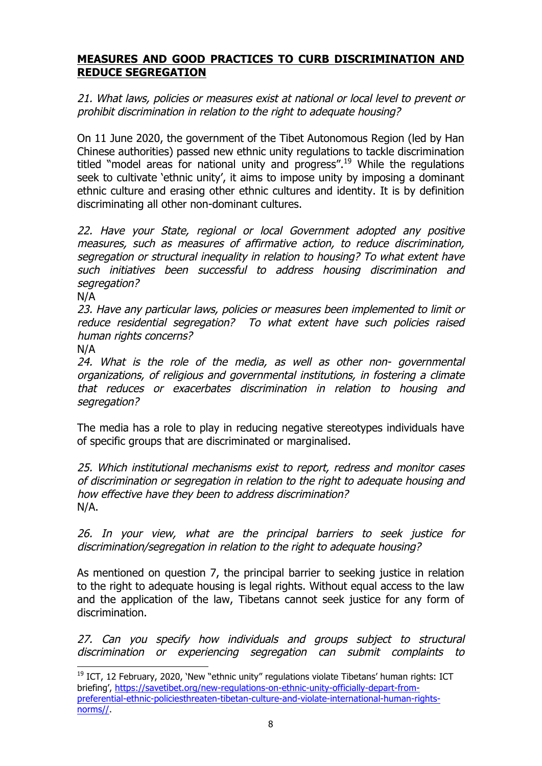## **MEASURES AND GOOD PRACTICES TO CURB DISCRIMINATION AND REDUCE SEGREGATION**

21. What laws, policies or measures exist at national or local level to prevent or prohibit discrimination in relation to the right to adequate housing?

On 11 June 2020, the government of the Tibet Autonomous Region (led by Han Chinese authorities) passed new ethnic unity regulations to tackle discrimination titled "model areas for national unity and progress".<sup>19</sup> While the regulations seek to cultivate 'ethnic unity', it aims to impose unity by imposing a dominant ethnic culture and erasing other ethnic cultures and identity. It is by definition discriminating all other non-dominant cultures.

22. Have your State, regional or local Government adopted any positive measures, such as measures of affirmative action, to reduce discrimination, segregation or structural inequality in relation to housing? To what extent have such initiatives been successful to address housing discrimination and segregation?

N/A

23. Have any particular laws, policies or measures been implemented to limit or reduce residential segregation? To what extent have such policies raised human rights concerns?

N/A

 $\overline{a}$ 

24. What is the role of the media, as well as other non- governmental organizations, of religious and governmental institutions, in fostering a climate that reduces or exacerbates discrimination in relation to housing and segregation?

The media has a role to play in reducing negative stereotypes individuals have of specific groups that are discriminated or marginalised.

25. Which institutional mechanisms exist to report, redress and monitor cases of discrimination or segregation in relation to the right to adequate housing and how effective have they been to address discrimination? N/A.

26. In your view, what are the principal barriers to seek justice for discrimination/segregation in relation to the right to adequate housing?

As mentioned on question 7, the principal barrier to seeking justice in relation to the right to adequate housing is legal rights. Without equal access to the law and the application of the law, Tibetans cannot seek justice for any form of discrimination.

27. Can you specify how individuals and groups subject to structural discrimination or experiencing segregation can submit complaints to

 $19$  ICT, 12 February, 2020, 'New "ethnic unity" regulations violate Tibetans' human rights: ICT briefing', https://savetibet.org/new-regulations-on-ethnic-unity-officially-depart-frompreferential-ethnic-policiesthreaten-tibetan-culture-and-violate-international-human-rightsnorms//.